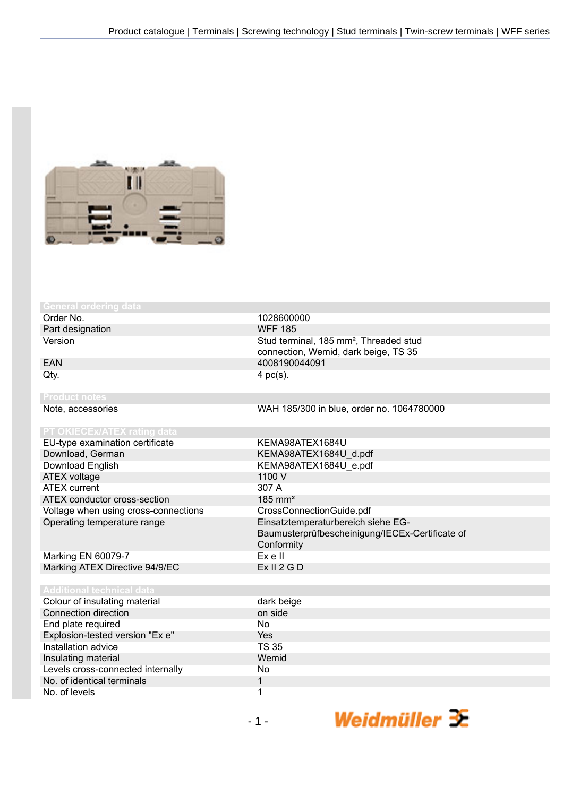

# **neral ordering d**

Order No. 1028600000<br>
Part designation and the contract of the CONFE 185 Part designation

EU-type examination certificate KEMA98ATEX1684U Download, German KEMA98ATEX1684U\_d.pdf<br>Download English KEMA98ATEX1684U e.pdf ATEX voltage 1100 V<br>ATEX current 1100 V<br>ATEX current 1100 V **ATEX current** ATEX conductor cross-section 185 mm<sup>2</sup> Voltage when using cross-connections CrossConnectionGuide.pdf Operating temperature range Einsatztemperaturbereich siehe EG-

Marking EN 60079-7 Ex e II Marking ATEX Directive 94/9/EC

Colour of ins Connection of End plate re Explosion-te Installation a Insulating ma Levels cross-No. of identic No. of levels 1

Version **Stud terminal, 185 mm<sup>2</sup>, Threaded stud** Stud terminal, 185 mm<sup>2</sup>, Threaded stud connection, Wemid, dark beige, TS 35 EAN 4008190044091  $Qty.$  4 pc(s).

Note, accessories WAH 185/300 in blue, order no. 1064780000

KEMA98ATEX1684U\_e.pdf Baumusterprüfbescheinigung/IECEx-Certificate of Conformity<br>Ex e II

Weidmüller 3E

| echnical data        |              |
|----------------------|--------------|
| ulating material     | dark beige   |
| direction            | on side      |
| quired               | No.          |
| sted version "Ex e"  | <b>Yes</b>   |
| ıdvice               | <b>TS 35</b> |
| aterial              | Wemid        |
| connected internally | No.          |
| cal terminals        |              |
|                      |              |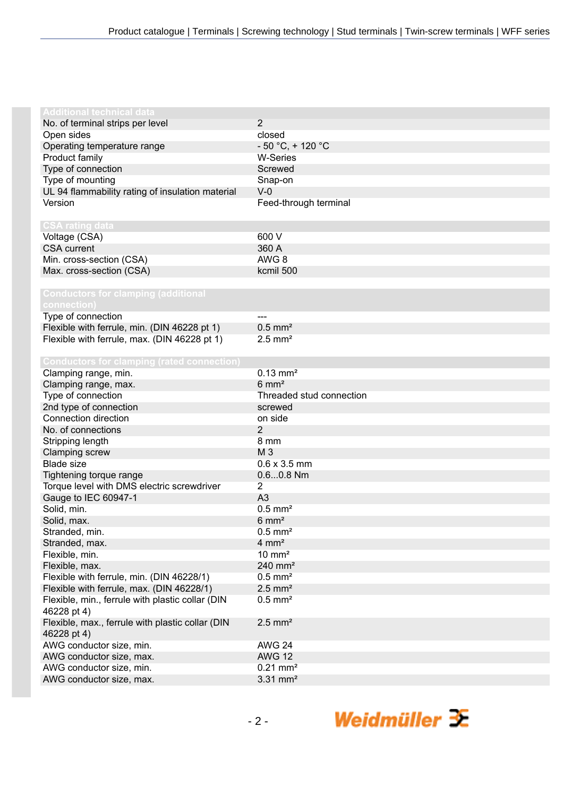| Additional technical data                         |                          |
|---------------------------------------------------|--------------------------|
| No. of terminal strips per level                  | 2                        |
| Open sides                                        | closed                   |
| Operating temperature range                       | $-50 °C$ , + 120 °C      |
| Product family                                    | <b>W-Series</b>          |
| Type of connection                                | Screwed                  |
| Type of mounting                                  | Snap-on                  |
| UL 94 flammability rating of insulation material  | $V-0$                    |
| Version                                           | Feed-through terminal    |
|                                                   |                          |
| <b>CSA rating data</b>                            |                          |
| Voltage (CSA)                                     | 600 V                    |
| <b>CSA</b> current                                | 360 A                    |
| Min. cross-section (CSA)                          | AWG 8                    |
| Max. cross-section (CSA)                          | kcmil 500                |
|                                                   |                          |
| <b>Conductors for clamping (additional</b>        |                          |
| connection)                                       |                          |
| Type of connection                                |                          |
| Flexible with ferrule, min. (DIN 46228 pt 1)      | $0.5$ mm <sup>2</sup>    |
| Flexible with ferrule, max. (DIN 46228 pt 1)      | $2.5$ mm <sup>2</sup>    |
|                                                   |                          |
| <b>Conductors for clamping (rated connection)</b> |                          |
| Clamping range, min.                              | $0.13$ mm <sup>2</sup>   |
| Clamping range, max.                              | $6 \text{ mm}^2$         |
| Type of connection                                | Threaded stud connection |
| 2nd type of connection                            | screwed                  |
| Connection direction                              | on side                  |
| No. of connections                                | 2                        |
| Stripping length                                  | 8 mm                     |
| Clamping screw                                    | M 3                      |
| <b>Blade size</b>                                 | $0.6 \times 3.5$ mm      |
| Tightening torque range                           | $0.60.8$ Nm              |
| Torque level with DMS electric screwdriver        | 2                        |
| Gauge to IEC 60947-1                              | A <sub>3</sub>           |
| Solid, min.                                       | $0.5$ mm <sup>2</sup>    |
| Solid, max.                                       | $6 \text{ mm}^2$         |
| Stranded, min.                                    | $0.5$ mm <sup>2</sup>    |
| Stranded, max.                                    | $4 \, \text{mm}^2$       |
| Flexible, min.                                    | $10 \text{ mm}^2$        |
| Flexible, max.                                    | $240$ mm <sup>2</sup>    |
| Flexible with ferrule, min. (DIN 46228/1)         | $0.5$ mm <sup>2</sup>    |
| Flexible with ferrule, max. (DIN 46228/1)         | $2.5$ mm <sup>2</sup>    |
| Flexible, min., ferrule with plastic collar (DIN  | $0.5$ mm <sup>2</sup>    |
| 46228 pt 4)                                       |                          |
| Flexible, max., ferrule with plastic collar (DIN  | $2.5$ mm <sup>2</sup>    |
| 46228 pt 4)                                       |                          |
| AWG conductor size, min.                          | <b>AWG 24</b>            |
| AWG conductor size, max.                          | <b>AWG 12</b>            |
| AWG conductor size, min.                          | $0.21$ mm <sup>2</sup>   |
| AWG conductor size, max.                          | $3.31$ mm <sup>2</sup>   |
|                                                   |                          |

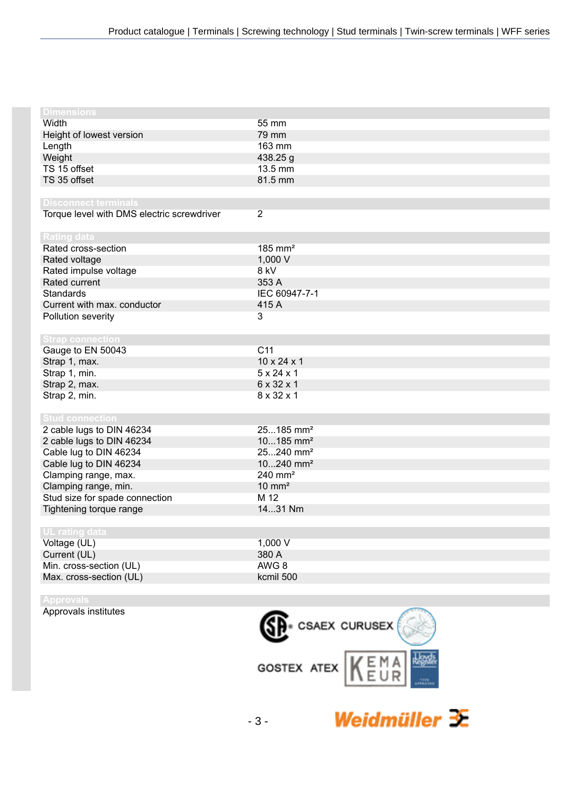| <b>Dimensions</b>                          |                         |
|--------------------------------------------|-------------------------|
| Width                                      | 55 mm                   |
| Height of lowest version                   | 79 mm                   |
| Length                                     | 163 mm                  |
| Weight                                     | 438.25 g                |
| TS 15 offset                               | 13.5 mm                 |
| TS 35 offset                               | 81.5 mm                 |
|                                            |                         |
| <b>Disconnect terminals</b>                |                         |
| Torque level with DMS electric screwdriver | $\overline{2}$          |
|                                            |                         |
| <b>Rating data</b>                         |                         |
| Rated cross-section                        | $185$ mm <sup>2</sup>   |
| Rated voltage                              | 1,000 V                 |
| Rated impulse voltage                      | 8 kV                    |
| Rated current                              | 353 A                   |
| Standards                                  | IEC 60947-7-1           |
| Current with max. conductor                | 415 A                   |
| Pollution severity                         | 3                       |
|                                            |                         |
| <b>Strap connection</b>                    |                         |
| Gauge to EN 50043                          | C <sub>11</sub>         |
| Strap 1, max.                              | $10 \times 24 \times 1$ |
| Strap 1, min.                              | $5 \times 24 \times 1$  |
| Strap 2, max.                              | 6 x 32 x 1              |
| Strap 2, min.                              | 8 x 32 x 1              |
|                                            |                         |
| <b>Stud connection</b>                     |                         |
| 2 cable lugs to DIN 46234                  | 25185 mm <sup>2</sup>   |
| 2 cable lugs to DIN 46234                  | $10185$ mm <sup>2</sup> |
| Cable lug to DIN 46234                     | 25240 mm <sup>2</sup>   |
| Cable lug to DIN 46234                     | $10240$ mm <sup>2</sup> |
| Clamping range, max.                       | $240$ mm <sup>2</sup>   |
| Clamping range, min.                       | $10 \text{ mm}^2$       |
| Stud size for spade connection             | M 12                    |
| Tightening torque range                    | 1431 Nm                 |
|                                            |                         |
| UL rating data                             |                         |
| Voltage (UL)                               | 1,000 V                 |
| Current (UL)                               | 380 A                   |
| Min. cross-section (UL)                    | AWG 8                   |
| Max. cross-section (UL)                    | kcmil 500               |
|                                            |                         |
| <b>Annrovals</b>                           |                         |

Approvals institutes